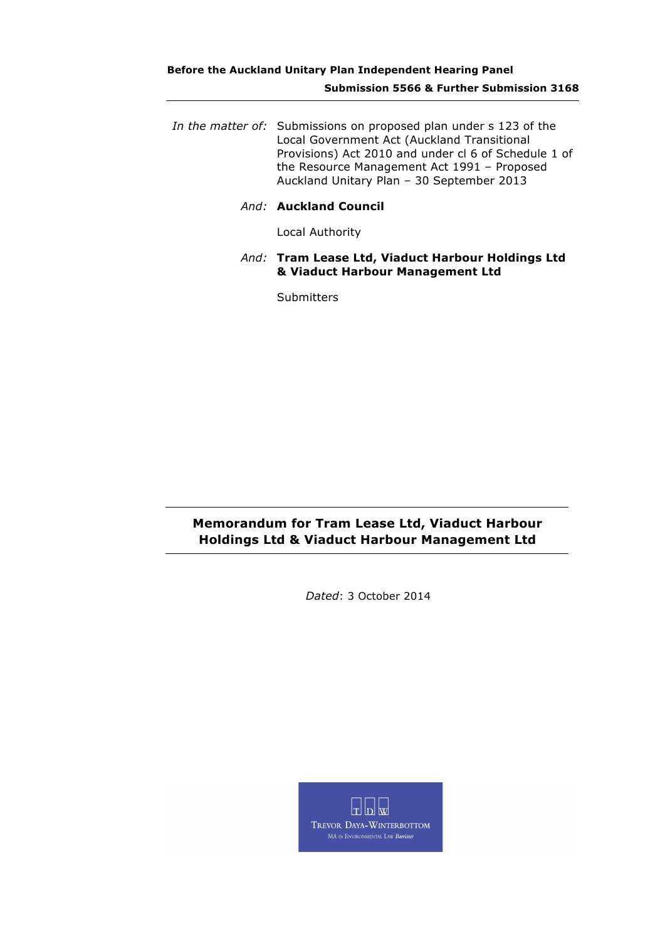## **Before the Auckland Unitary Plan Independent Hearing Panel Submission 5566 & Further Submission 3168**

- *In the matter of:* Submissions on proposed plan under s 123 of the Local Government Act (Auckland Transitional Provisions) Act 2010 and under cl 6 of Schedule 1 of the Resource Management Act 1991 – Proposed Auckland Unitary Plan – 30 September 2013
	- *And:* **Auckland Council**

Local Authority

*And:* **Tram Lease Ltd, Viaduct Harbour Holdings Ltd & Viaduct Harbour Management Ltd**

**Submitters** 

## **Memorandum for Tram Lease Ltd, Viaduct Harbour Holdings Ltd & Viaduct Harbour Management Ltd**

*Dated*: 3 October 2014

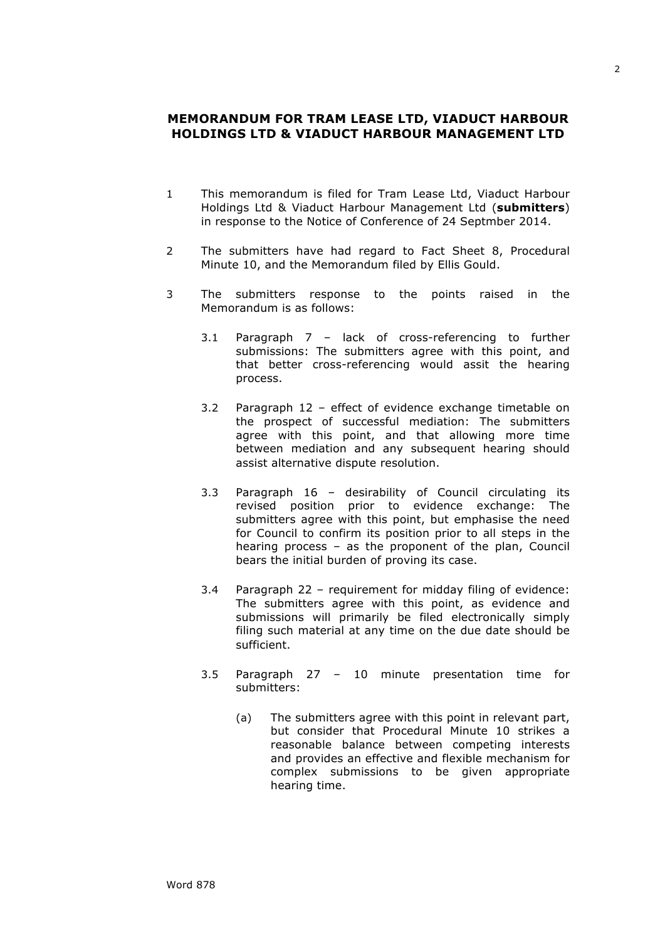## **MEMORANDUM FOR TRAM LEASE LTD, VIADUCT HARBOUR HOLDINGS LTD & VIADUCT HARBOUR MANAGEMENT LTD**

- 1 This memorandum is filed for Tram Lease Ltd, Viaduct Harbour Holdings Ltd & Viaduct Harbour Management Ltd (**submitters**) in response to the Notice of Conference of 24 Septmber 2014.
- 2 The submitters have had regard to Fact Sheet 8, Procedural Minute 10, and the Memorandum filed by Ellis Gould.
- 3 The submitters response to the points raised in the Memorandum is as follows:
	- 3.1 Paragraph 7 lack of cross-referencing to further submissions: The submitters agree with this point, and that better cross-referencing would assit the hearing process.
	- 3.2 Paragraph 12 effect of evidence exchange timetable on the prospect of successful mediation: The submitters agree with this point, and that allowing more time between mediation and any subsequent hearing should assist alternative dispute resolution.
	- 3.3 Paragraph 16 desirability of Council circulating its revised position prior to evidence exchange: The submitters agree with this point, but emphasise the need for Council to confirm its position prior to all steps in the hearing process – as the proponent of the plan, Council bears the initial burden of proving its case.
	- 3.4 Paragraph 22 requirement for midday filing of evidence: The submitters agree with this point, as evidence and submissions will primarily be filed electronically simply filing such material at any time on the due date should be sufficient.
	- 3.5 Paragraph 27 10 minute presentation time for submitters:
		- (a) The submitters agree with this point in relevant part, but consider that Procedural Minute 10 strikes a reasonable balance between competing interests and provides an effective and flexible mechanism for complex submissions to be given appropriate hearing time.